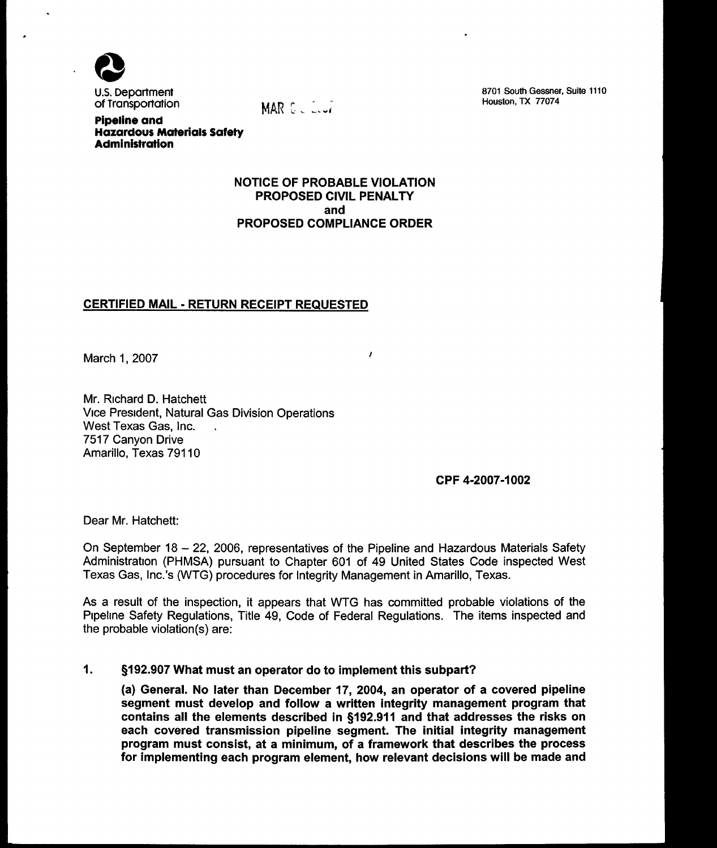

U.S. Department of Transportation

MAR GULLUT

8701 South Gessner, Suite 1110 Houston, TX 770?4

Pipeline and Hazardous Materials Safety **Administration** 

# NOTICE OF PROBABLE VIOLATION PROPOSED CIVIL PENALTY and PROPOSED COMPLIANCE ORDER

 $\pmb{\ell}$ 

# CERTIFIED MAIL - RETURN RECEIPT REQUESTED

March 1, 2007

Mr. Richard D. Hatchett Vice President, Natural Gas Division Operations West Texas Gas, Inc. 7517 Canyon Drive Amarillo, Texas 79110

CPF 4-2007-1002

Dear Mr. Hatchett:

On September 18 — 22, 2006, representatives of the Pipeline and Hazardous Materials Safety Administration (PHMSA) pursuant to Chapter 601 of 49 United States Code inspected West Texas Gas, Inc. 's (WTG) procedures for Integrity Management in Amarillo, Texas.

As a result of the inspection, it appears that WTG has committed probable violations of the Pipeline Safety Regulations, Title 49, Code of Federal Regulations. The items inspected and the probable violation(s) are:

#### $\mathbf 1$ . \$192. 907 What must an operator do to implement this subpart?

(a) General. No later than December 17, 2004, an operator of a covered pipeline segment must develop and follow a written integrity management program that contains all the elements described in \$192. 911 and that addresses the risks on each covered transmission pipeline segment. The initial integrity management program must consist, at a minimum, of a framework that describes the process for implementing each program element, how relevant decisions will be made and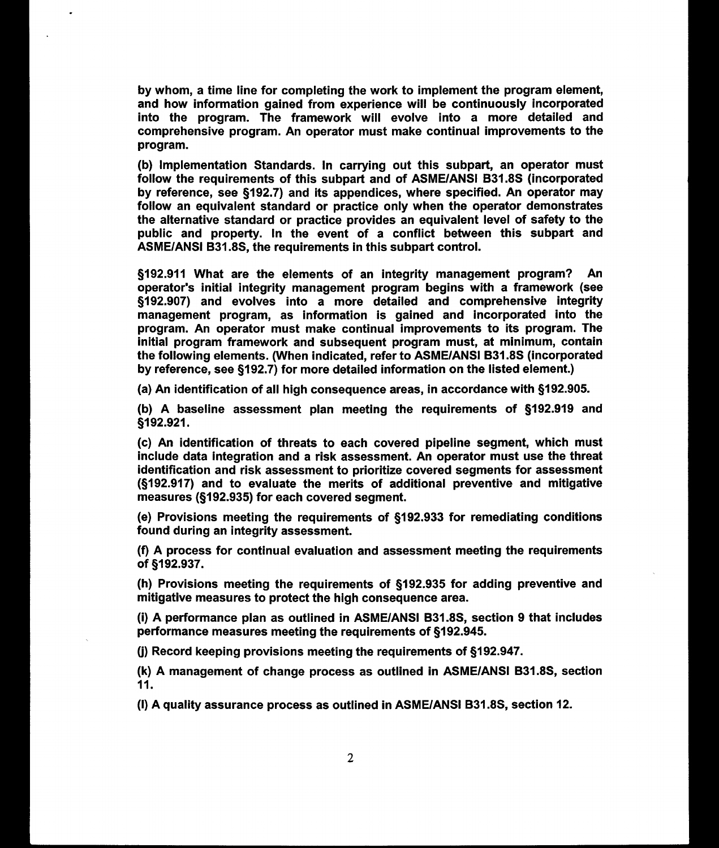by whom, a time line for completing the work to implement the program element, and how information gained from experience will be continuously incorporated into the program. The framework will evolve into a more detailed and comprehensive program. An operator must make continual improvements to the program.

(b) Implementation Standards. In carrying out this subpart, an operator must follow the requirements of this subpart and of ASME/ANSI B31. 8S (incorporated by reference, see §192.7) and its appendices, where specified. An operator may follow an equivalent standard or practice only when the operator demonstrates the alternative standard or practice provides an equivalent level of safety to the public and property. In the event of a conflict between this subpart and ASME/ANSI B31. 8S, the requirements in this subpart control.

\$192. 911 What are the elements of an integrity management program? An operator's initial integrity management program begins with a framework (see \$192. 907) and evolves into a more detailed and comprehensive integrity management program, as information is gained and incorporated into the program. An operator must make continual improvements to its program. The initial program framework and subsequent program must, at minimum, contain the following elements. (When indicated, refer to ASME/ANSI B31. 8S (incorporated by reference, see §192.7) for more detailed information on the listed element.)

(a) An identification of all high consequence areas, in accordance with \$192. 905.

(b) A baseline assessment plan meeting the requirements of  $§192.919$  and §192.921.

(c) An identification of threats to each covered pipeline segment, which must include data integration and a risk assessment. An operator must use the threat identification and risk assessment to prioritize covered segments for assessment (\$192. 917) and to evaluate the merits of additional preventive and mitigative measures (§192.935) for each covered segment.

(e) Provisions meeting the requirements of \$192. 933 for remediating conditions found during an integrity assessment.

(f) A process for continual evaluation and assessment meeting the requirements of §192.937.

(h) Provisions meeting the requirements of \$192. 935 for adding preventive and mitigative measures to protect the high consequence area.

(i) A performance plan as outlined in ASME/ANSI B31. 8S, section 9 that includes performance measures meeting the requirements of §192.945.

(j) Record keeping provisions meeting the requirements of \$192. 947.

(k) A management of change process as outlined in ASME/ANSI B31.8S, section 11.

(I) A quality assurance process as outlined in ASME/ANSI B31. 8S, section 12.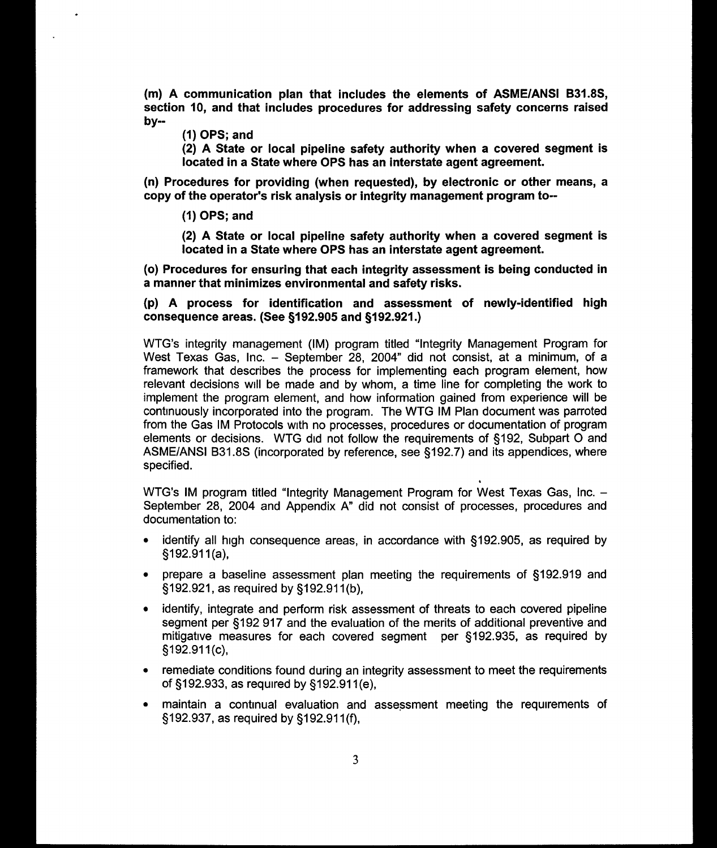(m) A communication plan that includes the elements of ASME/ANSI B31. 8S, section 10, and that includes procedures for addressing safety concerns raised by-

(1) OPS; and

(2) A State or local pipeline safety authority when a covered segment is located in a State where OPS has an interstate agent agreement.

(n) Procedures for providing (when requested), by electronic or other means, a copy of the operator's risk analysis or integrity management program to-

(1) OPS; and

(2) A State or local pipeline safety authority when a covered segment is located in a State where OPS has an interstate agent agreement.

(o) Procedures for ensuring that each integrity assessment is being conducted in a manner that minimizes environmental and safety risks.

(p) A process for identification and assessment of newly-identified high consequence areas. (See \$192. 905 and \$192. 921. )

WTG's integrity management (IM) program titled "Integrity Management Program for West Texas Gas, Inc. — September 28, 2004" did not consist, at a minimum, of a framework that describes the process for implementing each program element, how relevant decisions will be made and by whom, a time line for completing the work to implement the program element, and how information gained from experience will be continuously incorporated into the program. The WTG IM Plan document was parroted from the Gas IM Protocols with no processes, procedures or documentation of program elements or decisions. WTG did not follow the requirements of \$192, Subpart 0 and ASME/ANSI B31.8S (incorporated by reference, see §192.7) and its appendices, where specified.

WTG's IM program titled "Integrity Management Program for West Texas Gas, Inc. — September 28, 2004 and Appendix A" did not consist of processes, procedures and documentation to:

- identify all high consequence areas, in accordance with §192.905, as required by  $$192.911(a),$
- prepare a baseline assessment plan meeting the requirements of §192.919 and f192. 921, as required by \$192. 911(b),
- identify, integrate and perform risk assessment of threats to each covered pipeline segment per §192 917 and the evaluation of the merits of additional preventive and mitigative measures for each covered segment per §192.935, as required by §192.911(c),
- remediate conditions found during an integrity assessment to meet the requirements of \$192. 933, as required by \$192. 911(e),
- <sup>~</sup>maintain a continual evaluation and assessment meeting the requirements of \$192. 937, as required by \$192. 911(f),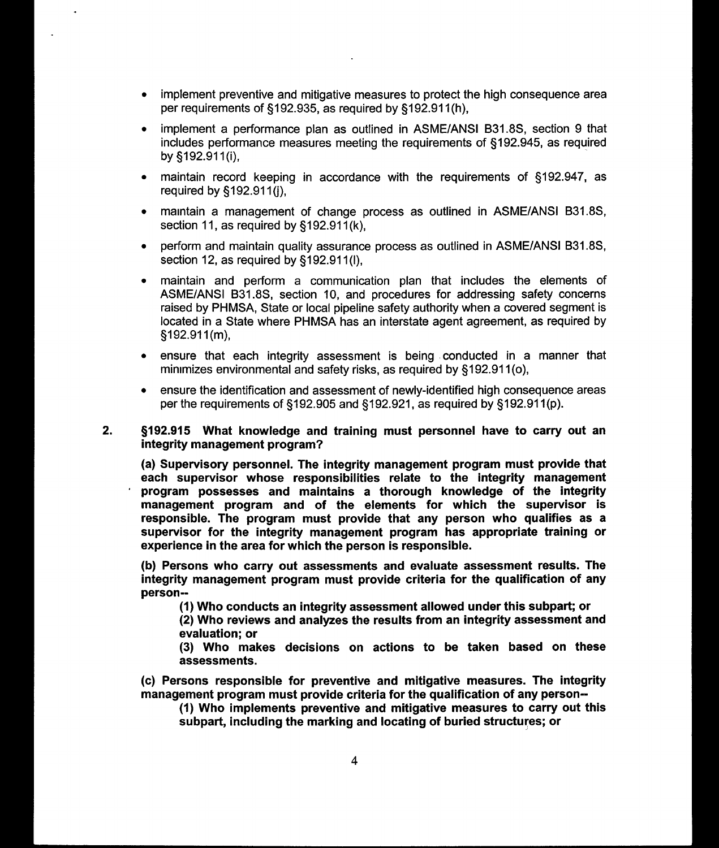- <sup>~</sup>implement preventive and mitigative measures to protect the high consequence area per requirements of \$192. 935, as required by \$192. 911(h),
- <sup>~</sup>implement a performance plan as outlined in ASME/ANSI B31. 8S, section 9 that includes performance measures meeting the requirements of §192.945, as required by §192.911(i),
- maintain record keeping in accordance with the requirements of §192.947, as required by \$192. 911(j),
- <sup>~</sup>maintain a management of change process as outlined in ASME/ANSI B31. 8S, section 11, as required by §192.911(k),
- perform and maintain quality assurance process as outlined in ASME/ANSI B31.8S, section 12, as required by §192.911(I),
- <sup>~</sup>maintain and perform a communication plan that includes the elements of ASME/ANSI B31.8S, section 10, and procedures for addressing safety concerns raised by PHMSA, State or local pipeline safety authority when a covered segment is located in a State where PHMSA has an interstate agent agreement, as required by  $$192.911(m),$
- <sup>~</sup>ensure that each integrity assessment is being conducted in a manner that minimizes environmental and safety risks, as required by §192.911(o),
- <sup>~</sup>ensure the identification and assessment of newly-identified high consequence areas per the requirements of \$192. 905 and \$192. 921, as required by \$192. 911(p).
- $2.$ \$192. 915 Nlhat knowledge and training must personnel have to carry out an integrity management program?

(a) Supervisory personnel. The integrity management program must provide that each supervisor whose responsibilities relate to the integrity management program possesses and maintains a thorough knowledge of the integrity management program and of the elements for which the supervisor is responsible. The program must provide that any person who qualifies as a supervisor for the integrity management program has appropriate training or experience in the area for which the person is responsible.

(b) Persons who carry out assessments and evaluate assessment results. The integrity management program must provide criteria for the qualification of any person-

(1) Who conducts an integrity assessment allowed under this subpart; or

(2) Who reviews and analyzes the results from an integrity assessment and evaluation; or

(3) Who makes decisions on actions to be taken based on these assessments.

(c) Persons responsible for preventive and mitigative measures. The integrity management program must provide criteria for the qualification of any person-

(1) Who implements preventive and mitigative measures to carry out this subpart, including the marking and locating of buried structures; or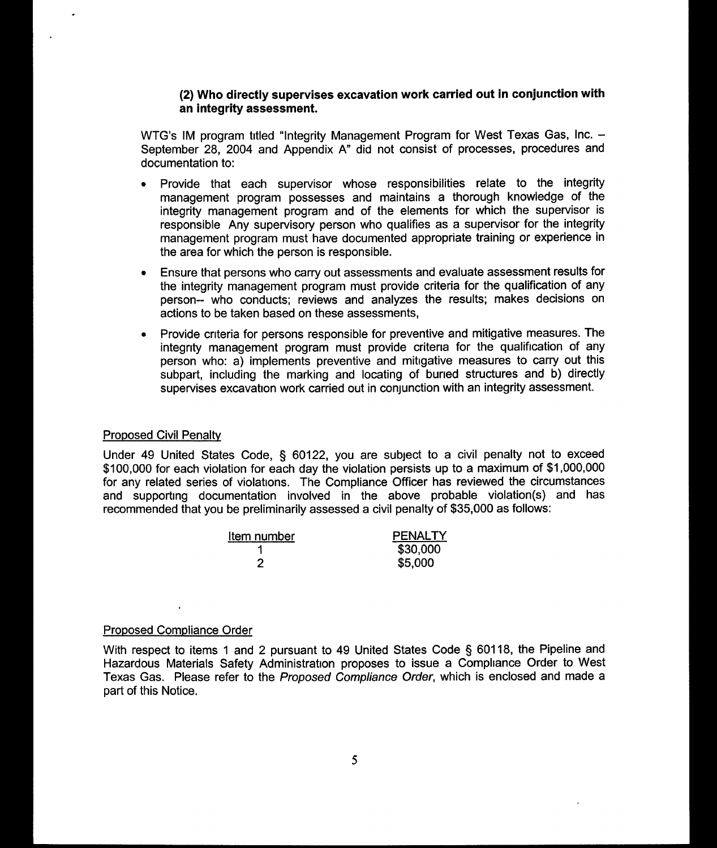## (2) Who directly supervises excavation work carried out in conjunction with an integrity assessment.

WTG's IM program titled "Integrity Management Program for West Texas Gas, Inc. -September 28, 2004 and Appendix A" did not consist of processes, procedures and documentation to:

- <sup>~</sup>Provide that each supervisor whose responsibilities relate to the integrity management program possesses and maintains a thorough knowledge of the integrity management program and of the elements for which the supervisor is responsible Any supervisory person who qualifies as a supervisor for the integrity management program must have documented appropriate training or experience in the area for which the person is responsible.
- <sup>~</sup>Ensure that persons who carry out assessments and evaluate assessment results for the integrity management program must provide criteria for the qualification of any person- who conducts; reviews and analyzes the results; makes decisions on actions to be taken based on these assessments,
- <sup>~</sup>Provide cnteria for persons responsible for preventive and mitigative measures. The integnty management program must provide critena for the qualification of any person who: a) implements preventive and mitigative measures to carry out this subpart, including the marking and locating of buned structures and b) directly supervises excavation work carried out in conjunction with an integrity assessment.

#### **Proposed Civil Penalty**

Under 49 United States Code, § 60122, you are subject to a civil penalty not to exceed \$100,000 for each violation for each day the violation persists up to a maximum of \$1,000,000 for any related series of violations. The Compliance Officer has reviewed the circumstances and supporting documentation involved in the above probable violation(s) and has recommended that you be preliminarily assessed a civil penalty of \$35, 000 as follows:

| Item number | <b>PENALTY</b> |
|-------------|----------------|
|             | \$30,000       |
|             | \$5,000        |

#### Proposed Compliance Order

With respect to items 1 and 2 pursuant to 49 United States Code § 60118, the Pipeline and Hazardous Materials Safety Administration proposes to issue a Compliance Order to West Texas Gas. Please refer to the Proposed Compliance Order, which is enclosed and made a part of this Notice.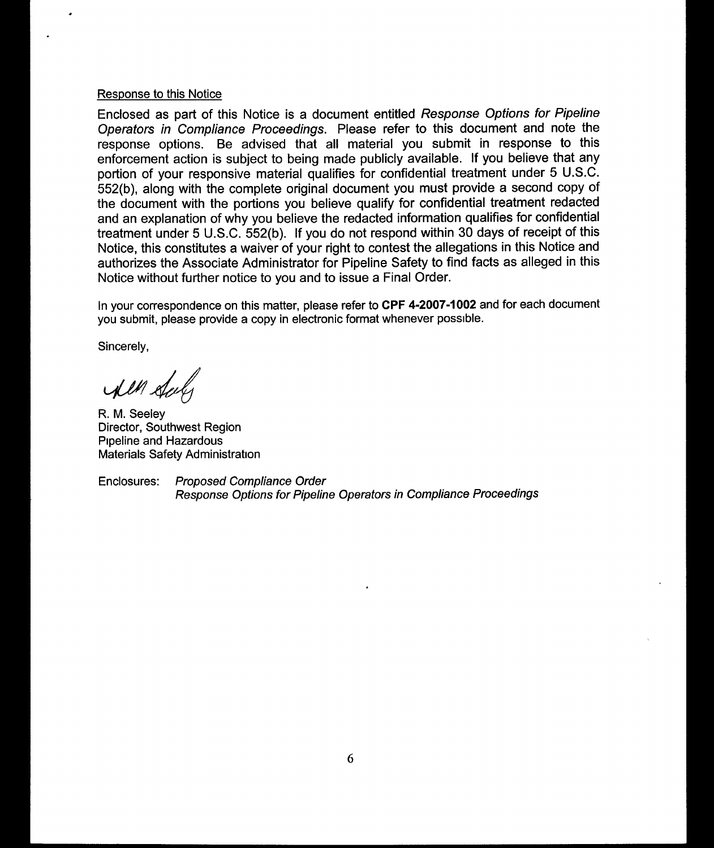# Response to this Notice

Enclosed as part of this Notice is a document entitled Response Options for Pipeline Operators in Compliance Proceedings. Please refer to this document and note the response options. Be advised that all material you submit in response to this enforcement action is subject to being made publicly available. If you believe that any portion of your responsive material qualifies for confidential treatment under 5 U.S.C. 552(b), along with the complete original document you must provide a second copy of the document with the portions you believe qualify for confidential treatment redacted and an explanation of why you believe the redacted information qualifies for confidential treatment under 5 U.S.C. 552(b). If you do not respond within 30 days of receipt of this Notice, this constitutes a waiver of your right to contest the allegations in this Notice and authorizes the Associate Administrator for Pipeline Safety to find facts as alleged in this Notice without further notice to you and to issue a Final Order.

ln your correspondence on this matter, please refer to CPF 4-2007-1002 and for each document you submit, please provide a copy in electronic format whenever possible.

Sincerely,

I'll duly

R. M. Seeley Director, Southwest Region Pipeline and Hazardous Materials Safety Administration

Enclosures: Proposed Compliance Order Response Options for Pipeline Operators in Compliance Proceedings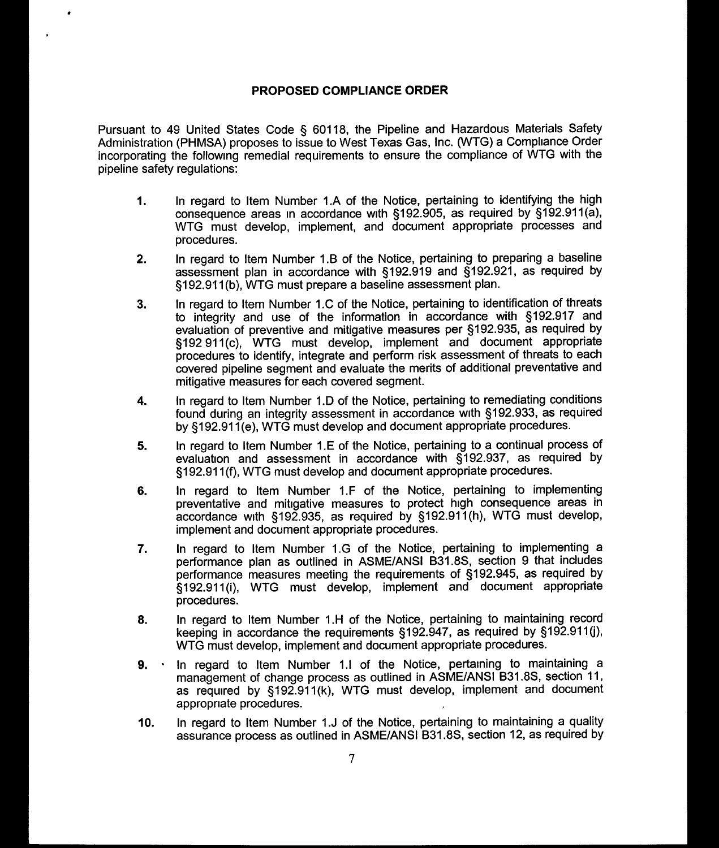### PROPOSED COMPLIANCE ORDER

Pursuant to 49 United States Code § 60118, the Pipeline and Hazardous Materials Safety Administration (PHMSA) proposes to issue to West Texas Gas, Inc. (WTG) a Compliance Order incorporating the following remedial requirements to ensure the compliance of WTG with the pipeline safety regulations:

- In regard to Item Number 1.A of the Notice, pertaining to identifying the high  $1.$ consequence areas in accordance with \$192. 905, as required by \$192. 911(a), WTG must develop, implement, and document appropriate processes and procedures.
- In regard to Item Number 1.B of the Notice, pertaining to preparing a baseline  $2.$ assessment plan in accordance with \$192. 919 and \$192. 921, as required by \$192. 911(b), WTG must prepare a baseline assessment plan.
- In regard to Item Number 1.C of the Notice, pertaining to identification of threats  $3.$ to integrity and use of the information in accordance with \$192. 917 and evaluation of preventive and mitigative measures per \$192. 935, as required by \$192 911(c), WTG must develop, implement and document appropriate procedures to identify, integrate and perform risk assessment of threats to each covered pipeline segment and evaluate the merits of additional preventative and mitigative measures for each covered segment.
- In regard to Item Number 1.D of the Notice, pertaining to remediating conditions 4. found during an integrity assessment in accordance with \$192. 933, as required by \$192. 911(e), WTG must develop and document appropriate procedures.
- In regard to Item Number 1.E of the Notice, pertaining to a continual process of 5. evaluation and assessment in accordance with §192.937, as required by \$192. 911(f), WTG must develop and document appropriate procedures.
- In regard to Item Number 1.F of the Notice, pertaining to implementing 6. preventative and mitigative measures to protect high consequence areas in accordance with §192.935, as required by §192.911(h), WTG must develop, implement and document appropriate procedures.
- In regard to Item Number 1. G of the Notice, pertaining to implementing a  $\overline{7}$ . performance plan as outlined in ASME/ANSI B31. 8S, section 9 that includes performance measures meeting the requirements of §192.945, as required by \$192. 911(i), WTG must develop, implement and document appropriate procedures.
- In regard to Item Number 1. H of the Notice, pertaining to maintaining record 8. keeping in accordance the requirements \$192. 947, as required by \$192. 911(j), WTG must develop, implement and document appropriate procedures.
- 9. In regard to Item Number 1.1 of the Notice, pertaining to maintaining a management of change process as outlined in ASME/ANSI B31. 8S, section 11, as required by §192.911(k), WTG must develop, implement and document appropnate procedures.
- 10. In regard to Item Number 1.J of the Notice, pertaining to maintaining a quality assurance process as outlined in ASME/ANSI B31. 8S, section 12, as required by